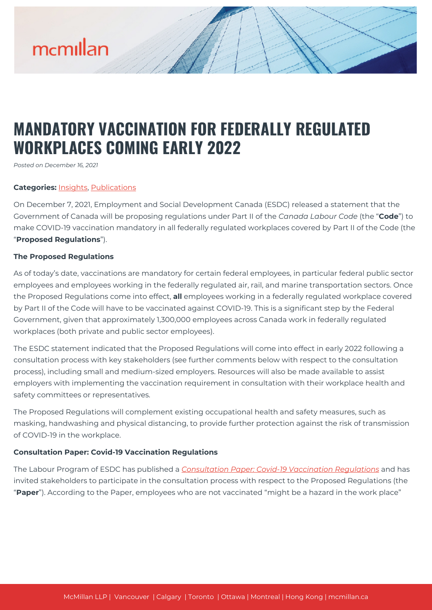# mcmillan

# **MANDATORY VACCINATION FOR FEDERALLY REGULATED WORKPLACES COMING EARLY 2022**

*Posted on December 16, 2021*

### **Categories:** [Insights,](https://mcmillan.ca/insights/) [Publications](https://mcmillan.ca/insights/publications/)

On December 7, 2021, Employment and Social Development Canada (ESDC) released a statement that the Government of Canada will be proposing regulations under Part II of the *Canada Labour Code* (the "**Code**") to make COVID-19 vaccination mandatory in all federally regulated workplaces covered by Part II of the Code (the "**Proposed Regulations**").

### **The Proposed Regulations**

As of today's date, vaccinations are mandatory for certain federal employees, in particular federal public sector employees and employees working in the federally regulated air, rail, and marine transportation sectors. Once the Proposed Regulations come into effect, **all** employees working in a federally regulated workplace covered by Part II of the Code will have to be vaccinated against COVID-19. This is a significant step by the Federal Government, given that approximately 1,300,000 employees across Canada work in federally regulated workplaces (both private and public sector employees).

The ESDC statement indicated that the Proposed Regulations will come into effect in early 2022 following a consultation process with key stakeholders (see further comments below with respect to the consultation process), including small and medium-sized employers. Resources will also be made available to assist employers with implementing the vaccination requirement in consultation with their workplace health and safety committees or representatives.

The Proposed Regulations will complement existing occupational health and safety measures, such as masking, handwashing and physical distancing, to provide further protection against the risk of transmission of COVID-19 in the workplace.

### **Consultation Paper: Covid-19 Vaccination Regulations**

The Labour Program of ESDC has published a *[Consultation Paper: Covid-19 Vaccination Regulations](https://mcmillan.ca/wp-content/uploads/2021/12/Federal-Vaccines-Consultation-paper-EN.pdf)* and has invited stakeholders to participate in the consultation process with respect to the Proposed Regulations (the "**Paper**"). According to the Paper, employees who are not vaccinated "might be a hazard in the work place"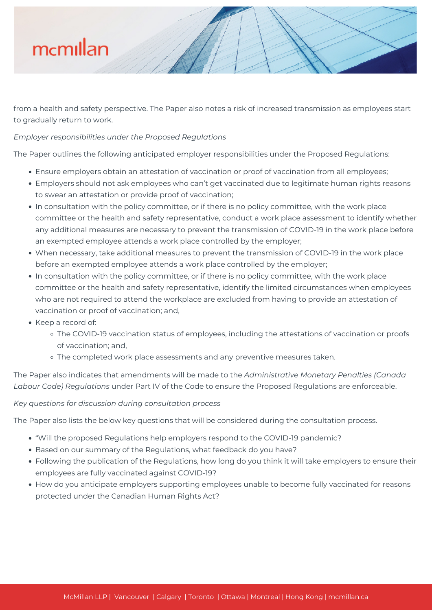# mcmillan

from a health and safety perspective. The Paper also notes a risk of increased transmission as employees start to gradually return to work.

## *Employer responsibilities under the Proposed Regulations*

The Paper outlines the following anticipated employer responsibilities under the Proposed Regulations:

- Ensure employers obtain an attestation of vaccination or proof of vaccination from all employees;
- Employers should not ask employees who can't get vaccinated due to legitimate human rights reasons to swear an attestation or provide proof of vaccination;
- In consultation with the policy committee, or if there is no policy committee, with the work place committee or the health and safety representative, conduct a work place assessment to identify whether any additional measures are necessary to prevent the transmission of COVID-19 in the work place before an exempted employee attends a work place controlled by the employer;
- When necessary, take additional measures to prevent the transmission of COVID-19 in the work place before an exempted employee attends a work place controlled by the employer;
- In consultation with the policy committee, or if there is no policy committee, with the work place committee or the health and safety representative, identify the limited circumstances when employees who are not required to attend the workplace are excluded from having to provide an attestation of vaccination or proof of vaccination; and,
- Keep a record of:
	- The COVID-19 vaccination status of employees, including the attestations of vaccination or proofs of vaccination; and,
	- o The completed work place assessments and any preventive measures taken.

The Paper also indicates that amendments will be made to the *Administrative Monetary Penalties (Canada Labour Code) Regulations* under Part IV of the Code to ensure the Proposed Regulations are enforceable.

### *Key questions for discussion during consultation process*

The Paper also lists the below key questions that will be considered during the consultation process.

- "Will the proposed Regulations help employers respond to the COVID-19 pandemic?
- Based on our summary of the Regulations, what feedback do you have?
- Following the publication of the Regulations, how long do you think it will take employers to ensure their employees are fully vaccinated against COVID-19?
- How do you anticipate employers supporting employees unable to become fully vaccinated for reasons protected under the Canadian Human Rights Act?